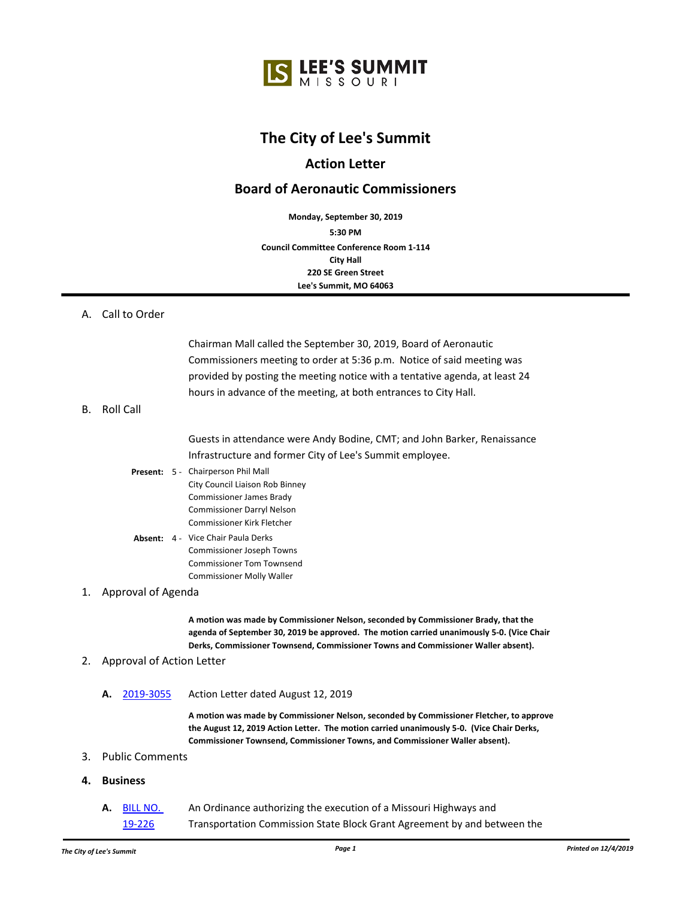# **The City of Lee's Summit**

# **Action Letter**

## **Board of Aeronautic Commissioners**

**5:30 PM Monday, September 30, 2019 Council Committee Conference Room 1-114 City Hall 220 SE Green Street Lee's Summit, MO 64063**

### A. Call to Order

Chairman Mall called the September 30, 2019, Board of Aeronautic Commissioners meeting to order at 5:36 p.m. Notice of said meeting was provided by posting the meeting notice with a tentative agenda, at least 24 hours in advance of the meeting, at both entrances to City Hall.

#### B. Roll Call

Guests in attendance were Andy Bodine, CMT; and John Barker, Renaissance Infrastructure and former City of Lee's Summit employee.

#### Present: 5 - Chairperson Phil Mall City Council Liaison Rob Binney Commissioner James Brady

Commissioner Darryl Nelson Commissioner Kirk Fletcher

#### Absent: 4 - Vice Chair Paula Derks Commissioner Joseph Towns Commissioner Tom Townsend Commissioner Molly Waller

#### 1. Approval of Agenda

**A motion was made by Commissioner Nelson, seconded by Commissioner Brady, that the agenda of September 30, 2019 be approved. The motion carried unanimously 5-0. (Vice Chair Derks, Commissioner Townsend, Commissioner Towns and Commissioner Waller absent).**

#### 2. Approval of Action Letter

**A.** [2019-3055](http://lsmo.legistar.com/gateway.aspx?m=l&id=/matter.aspx?key=5507) Action Letter dated August 12, 2019

**A motion was made by Commissioner Nelson, seconded by Commissioner Fletcher, to approve the August 12, 2019 Action Letter. The motion carried unanimously 5-0. (Vice Chair Derks, Commissioner Townsend, Commissioner Towns, and Commissioner Waller absent).**

#### 3. Public Comments

- **4. Business**
	- **A.** [BILL NO.](http://lsmo.legistar.com/gateway.aspx?m=l&id=/matter.aspx?key=5492)  19-226 An Ordinance authorizing the execution of a Missouri Highways and Transportation Commission State Block Grant Agreement by and between the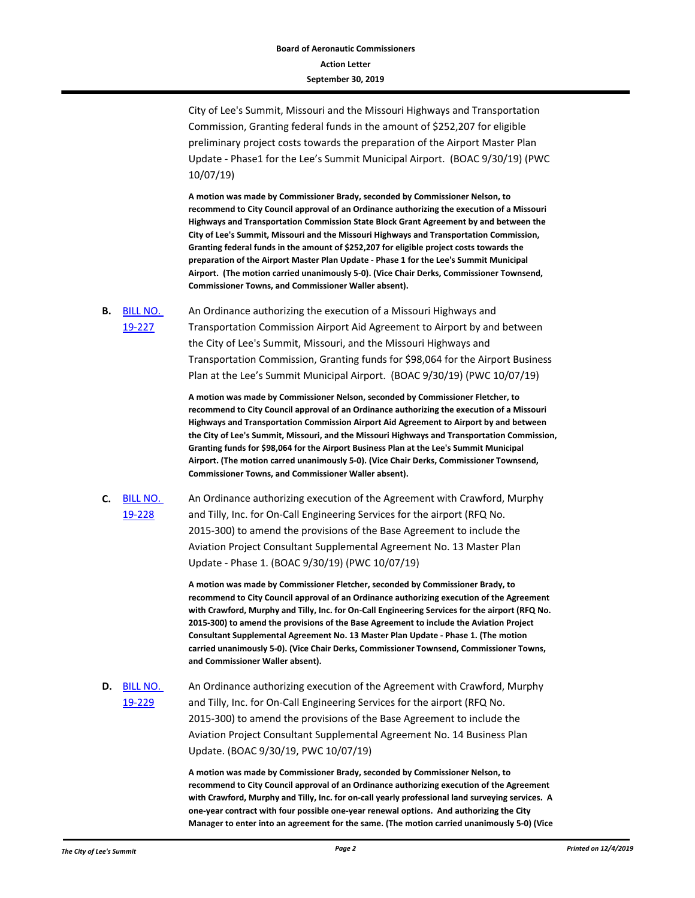City of Lee's Summit, Missouri and the Missouri Highways and Transportation Commission, Granting federal funds in the amount of \$252,207 for eligible preliminary project costs towards the preparation of the Airport Master Plan Update - Phase1 for the Lee's Summit Municipal Airport. (BOAC 9/30/19) (PWC 10/07/19)

**A motion was made by Commissioner Brady, seconded by Commissioner Nelson, to recommend to City Council approval of an Ordinance authorizing the execution of a Missouri Highways and Transportation Commission State Block Grant Agreement by and between the City of Lee's Summit, Missouri and the Missouri Highways and Transportation Commission, Granting federal funds in the amount of \$252,207 for eligible project costs towards the preparation of the Airport Master Plan Update - Phase 1 for the Lee's Summit Municipal Airport. (The motion carried unanimously 5-0). (Vice Chair Derks, Commissioner Townsend, Commissioner Towns, and Commissioner Waller absent).**

**B.** [BILL NO.](http://lsmo.legistar.com/gateway.aspx?m=l&id=/matter.aspx?key=5493)  19-227 An Ordinance authorizing the execution of a Missouri Highways and Transportation Commission Airport Aid Agreement to Airport by and between the City of Lee's Summit, Missouri, and the Missouri Highways and Transportation Commission, Granting funds for \$98,064 for the Airport Business Plan at the Lee's Summit Municipal Airport. (BOAC 9/30/19) (PWC 10/07/19)

> **A motion was made by Commissioner Nelson, seconded by Commissioner Fletcher, to recommend to City Council approval of an Ordinance authorizing the execution of a Missouri Highways and Transportation Commission Airport Aid Agreement to Airport by and between the City of Lee's Summit, Missouri, and the Missouri Highways and Transportation Commission, Granting funds for \$98,064 for the Airport Business Plan at the Lee's Summit Municipal Airport. (The motion carred unanimously 5-0). (Vice Chair Derks, Commissioner Townsend, Commissioner Towns, and Commissioner Waller absent).**

**C.** [BILL NO.](http://lsmo.legistar.com/gateway.aspx?m=l&id=/matter.aspx?key=5494)  19-228 An Ordinance authorizing execution of the Agreement with Crawford, Murphy and Tilly, Inc. for On-Call Engineering Services for the airport (RFQ No. 2015-300) to amend the provisions of the Base Agreement to include the Aviation Project Consultant Supplemental Agreement No. 13 Master Plan Update - Phase 1. (BOAC 9/30/19) (PWC 10/07/19)

> **A motion was made by Commissioner Fletcher, seconded by Commissioner Brady, to recommend to City Council approval of an Ordinance authorizing execution of the Agreement with Crawford, Murphy and Tilly, Inc. for On-Call Engineering Services for the airport (RFQ No. 2015-300) to amend the provisions of the Base Agreement to include the Aviation Project Consultant Supplemental Agreement No. 13 Master Plan Update - Phase 1. (The motion carried unanimously 5-0). (Vice Chair Derks, Commissioner Townsend, Commissioner Towns, and Commissioner Waller absent).**

**D.** [BILL NO.](http://lsmo.legistar.com/gateway.aspx?m=l&id=/matter.aspx?key=5495)  19-229 An Ordinance authorizing execution of the Agreement with Crawford, Murphy and Tilly, Inc. for On-Call Engineering Services for the airport (RFQ No. 2015-300) to amend the provisions of the Base Agreement to include the Aviation Project Consultant Supplemental Agreement No. 14 Business Plan Update. (BOAC 9/30/19, PWC 10/07/19)

> **A motion was made by Commissioner Brady, seconded by Commissioner Nelson, to recommend to City Council approval of an Ordinance authorizing execution of the Agreement with Crawford, Murphy and Tilly, Inc. for on-call yearly professional land surveying services. A one-year contract with four possible one-year renewal options. And authorizing the City Manager to enter into an agreement for the same. (The motion carried unanimously 5-0) (Vice**